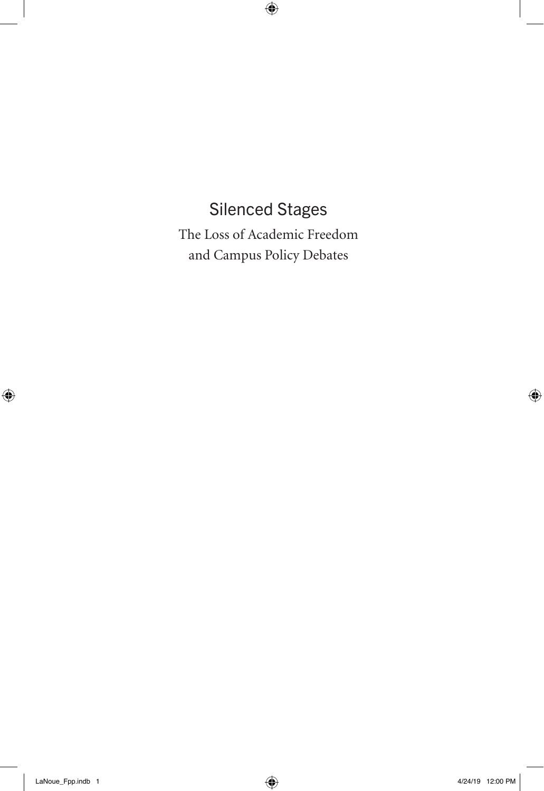## Silenced Stages

The Loss of Academic Freedom and Campus Policy Debates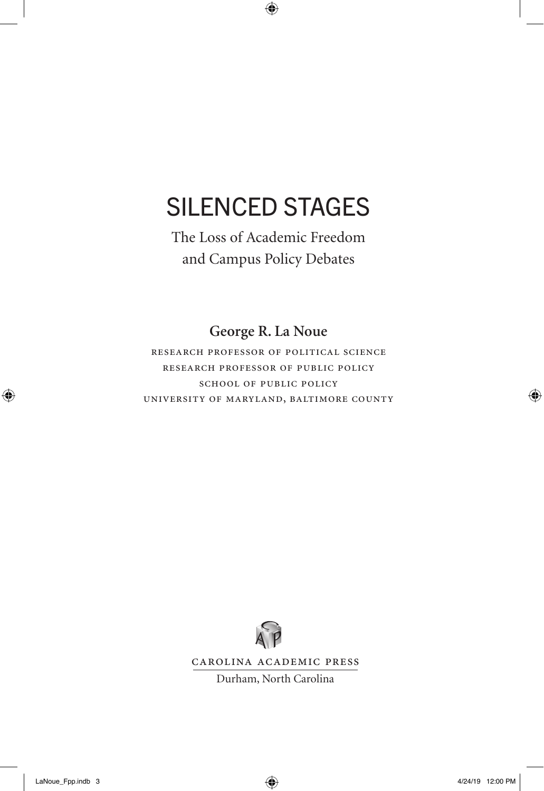# SILENCED STAGES

The Loss of Academic Freedom and Campus Policy Debates

**George R. La Noue**

research professor of political science research professor of public policy school of public policy university of maryland, baltimore county



Carolina Academic Press

Durham, North Carolina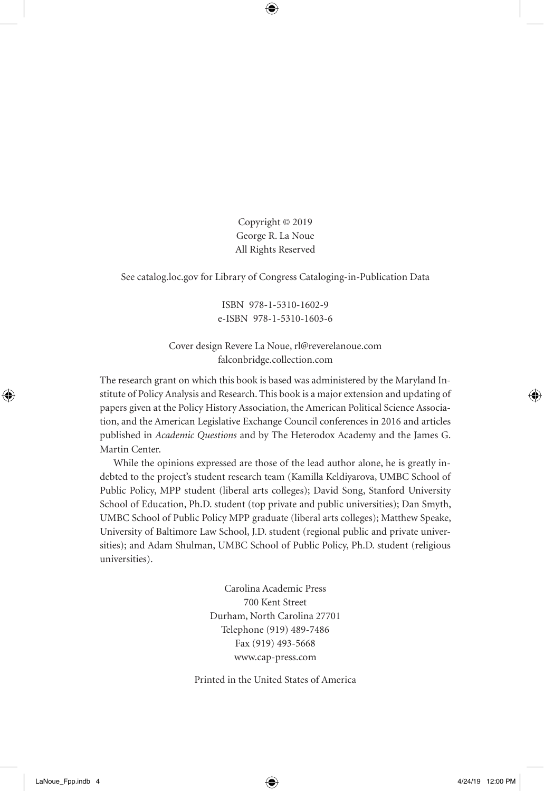Copyright © 2019 George R. La Noue All Rights Reserved

See catalog.loc.gov for Library of Congress Cataloging-in-Publication Data

ISBN 978-1-5310-1602-9 e-ISBN 978-1-5310-1603-6

Cover design Revere La Noue, rl@reverelanoue.com falconbridge.collection.com

The research grant on which this book is based was administered by the Maryland Institute of Policy Analysis and Research. This book is a major extension and updating of papers given at the Policy History Association, the American Political Science Association, and the American Legislative Exchange Council conferences in 2016 and articles published in *Academic Questions* and by The Heterodox Academy and the James G. Martin Center.

While the opinions expressed are those of the lead author alone, he is greatly indebted to the project's student research team (Kamilla Keldiyarova, UMBC School of Public Policy, MPP student (liberal arts colleges); David Song, Stanford University School of Education, Ph.D. student (top private and public universities); Dan Smyth, UMBC School of Public Policy MPP graduate (liberal arts colleges); Matthew Speake, University of Baltimore Law School, J.D. student (regional public and private universities); and Adam Shulman, UMBC School of Public Policy, Ph.D. student (religious universities).

> Carolina Academic Press 700 Kent Street Durham, North Carolina 27701 Telephone (919) 489-7486 Fax (919) 493-5668 www.cap-press.com

Printed in the United States of America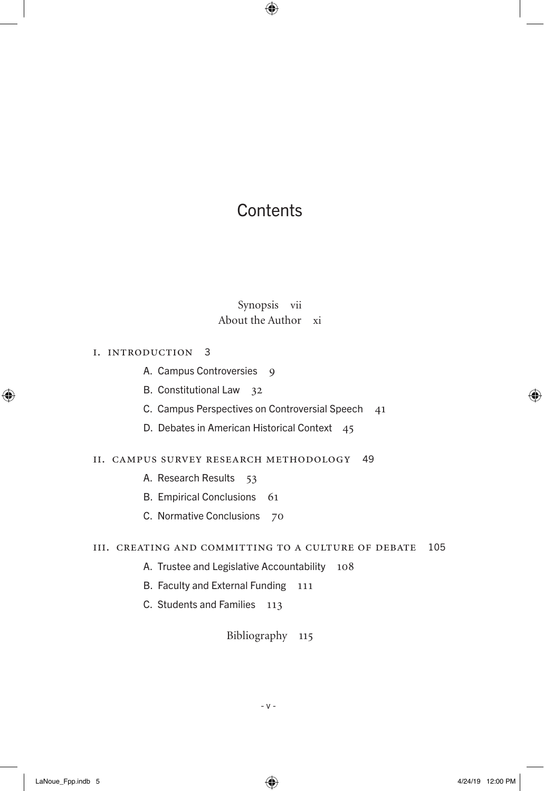## **Contents**

#### Synopsis vii About the Author xi

#### i. introduction 3

- A. Campus Controversies 9
- B. Constitutional Law 32
- C. Campus Perspectives on Controversial Speech 41
- D. Debates in American Historical Context 45

#### ii. campus survey research methodology 49

- A. Research Results 53
- B. Empirical Conclusions 61
- C. Normative Conclusions 70

#### iii. creating and committing to a culture of debate 105

- A. Trustee and Legislative Accountability 108
- B. Faculty and External Funding 111
- C. Students and Families 113

Bibliography 115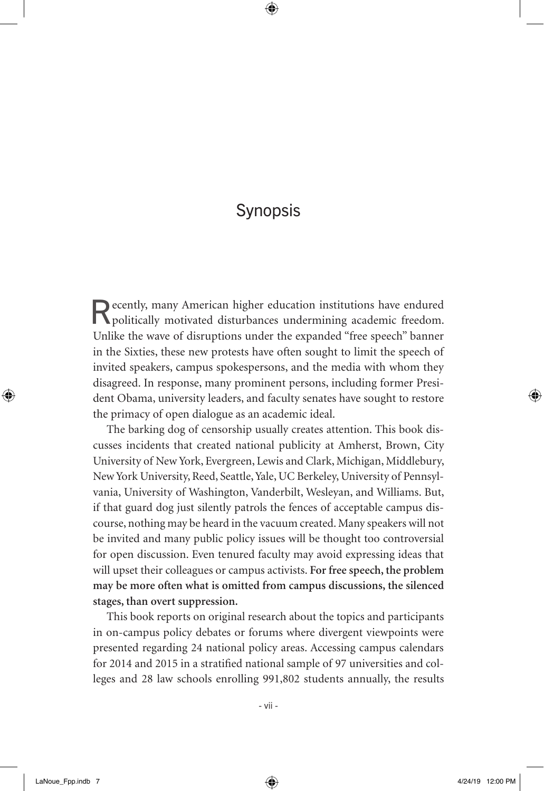## Synopsis

Recently, many American higher education institutions have endured politically motivated disturbances undermining academic freedom. Unlike the wave of disruptions under the expanded "free speech" banner in the Sixties, these new protests have often sought to limit the speech of invited speakers, campus spokespersons, and the media with whom they disagreed. In response, many prominent persons, including former President Obama, university leaders, and faculty senates have sought to restore the primacy of open dialogue as an academic ideal.

The barking dog of censorship usually creates attention. This book discusses incidents that created national publicity at Amherst, Brown, City University of New York, Evergreen, Lewis and Clark, Michigan, Middlebury, New York University, Reed, Seattle, Yale, UC Berkeley, University of Pennsylvania, University of Washington, Vanderbilt, Wesleyan, and Williams. But, if that guard dog just silently patrols the fences of acceptable campus discourse, nothing may be heard in the vacuum created. Many speakers will not be invited and many public policy issues will be thought too controversial for open discussion. Even tenured faculty may avoid expressing ideas that will upset their colleagues or campus activists. **For free speech, the problem may be more often what is omitted from campus discussions, the silenced stages, than overt suppression.**

This book reports on original research about the topics and participants in on-campus policy debates or forums where divergent viewpoints were presented regarding 24 national policy areas. Accessing campus calendars for 2014 and 2015 in a stratified national sample of 97 universities and colleges and 28 law schools enrolling 991,802 students annually, the results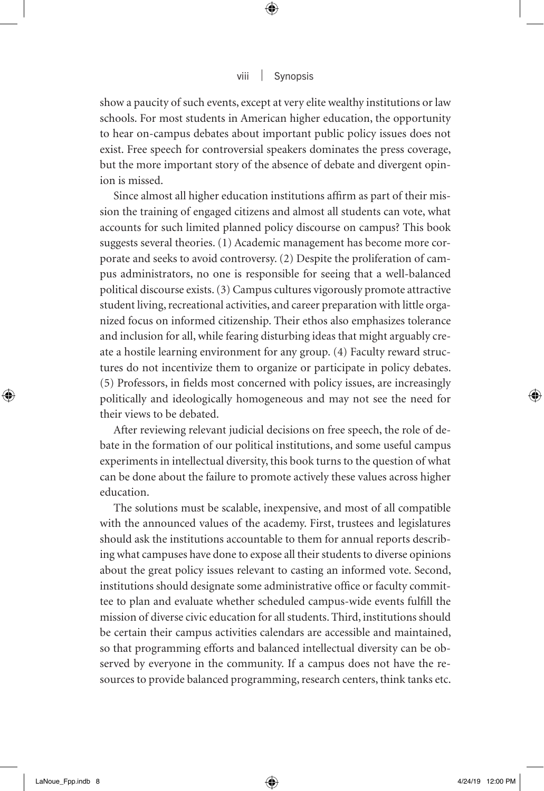show a paucity of such events, except at very elite wealthy institutions or law schools. For most students in American higher education, the opportunity to hear on-campus debates about important public policy issues does not exist. Free speech for controversial speakers dominates the press coverage, but the more important story of the absence of debate and divergent opinion is missed.

Since almost all higher education institutions affirm as part of their mission the training of engaged citizens and almost all students can vote, what accounts for such limited planned policy discourse on campus? This book suggests several theories. (1) Academic management has become more corporate and seeks to avoid controversy. (2) Despite the proliferation of campus administrators, no one is responsible for seeing that a well-balanced political discourse exists. (3) Campus cultures vigorously promote attractive student living, recreational activities, and career preparation with little organized focus on informed citizenship. Their ethos also emphasizes tolerance and inclusion for all, while fearing disturbing ideas that might arguably create a hostile learning environment for any group. (4) Faculty reward structures do not incentivize them to organize or participate in policy debates. (5) Professors, in fields most concerned with policy issues, are increasingly politically and ideologically homogeneous and may not see the need for their views to be debated.

After reviewing relevant judicial decisions on free speech, the role of debate in the formation of our political institutions, and some useful campus experiments in intellectual diversity, this book turns to the question of what can be done about the failure to promote actively these values across higher education.

The solutions must be scalable, inexpensive, and most of all compatible with the announced values of the academy. First, trustees and legislatures should ask the institutions accountable to them for annual reports describing what campuses have done to expose all their students to diverse opinions about the great policy issues relevant to casting an informed vote. Second, institutions should designate some administrative office or faculty committee to plan and evaluate whether scheduled campus-wide events fulfill the mission of diverse civic education for all students. Third, institutions should be certain their campus activities calendars are accessible and maintained, so that programming efforts and balanced intellectual diversity can be observed by everyone in the community. If a campus does not have the resources to provide balanced programming, research centers, think tanks etc.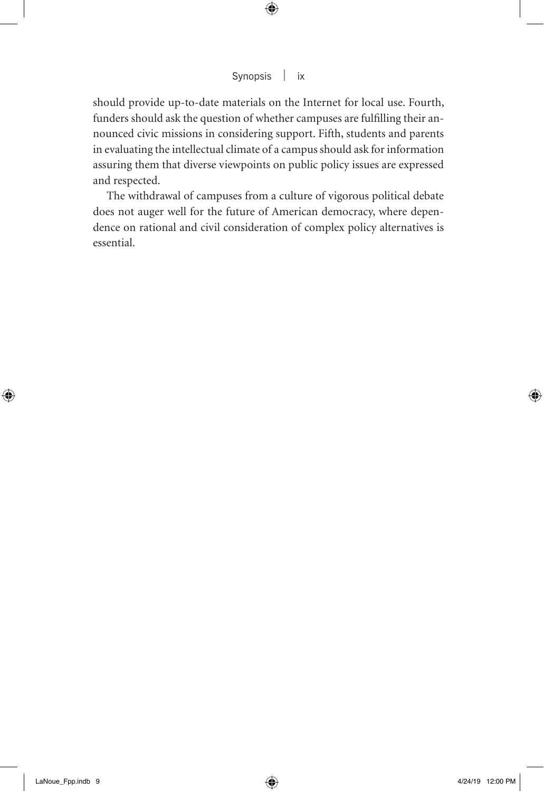should provide up-to-date materials on the Internet for local use. Fourth, funders should ask the question of whether campuses are fulfilling their announced civic missions in considering support. Fifth, students and parents in evaluating the intellectual climate of a campus should ask for information assuring them that diverse viewpoints on public policy issues are expressed and respected.

The withdrawal of campuses from a culture of vigorous political debate does not auger well for the future of American democracy, where dependence on rational and civil consideration of complex policy alternatives is essential.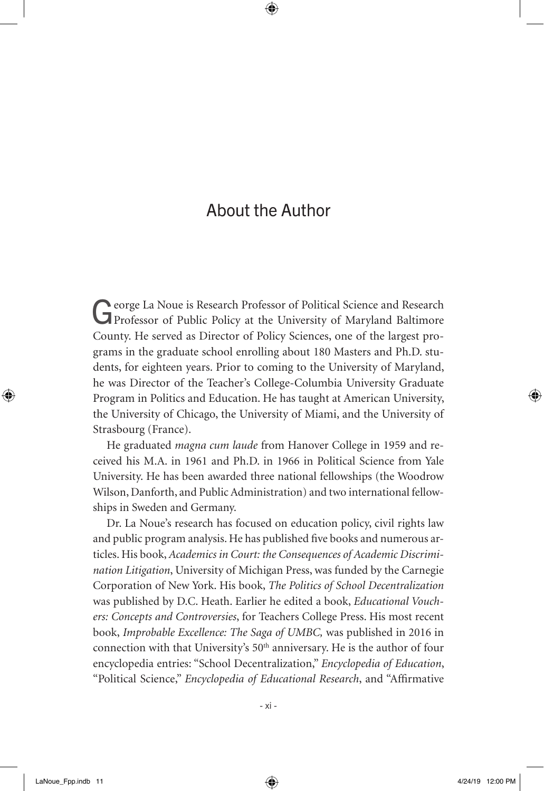## About the Author

George La Noue is Research Professor of Political Science and Research Professor of Public Policy at the University of Maryland Baltimore County. He served as Director of Policy Sciences, one of the largest programs in the graduate school enrolling about 180 Masters and Ph.D. students, for eighteen years. Prior to coming to the University of Maryland, he was Director of the Teacher's College-Columbia University Graduate Program in Politics and Education. He has taught at American University, the University of Chicago, the University of Miami, and the University of Strasbourg (France).

He graduated *magna cum laude* from Hanover College in 1959 and received his M.A. in 1961 and Ph.D. in 1966 in Political Science from Yale University. He has been awarded three national fellowships (the Woodrow Wilson, Danforth, and Public Administration) and two international fellowships in Sweden and Germany.

Dr. La Noue's research has focused on education policy, civil rights law and public program analysis. He has published five books and numerous articles. His book, *Academics in Court: the Consequences of Academic Discrimination Litigation*, University of Michigan Press, was funded by the Carnegie Corporation of New York. His book, *The Politics of School Decentralization*  was published by D.C. Heath. Earlier he edited a book, *Educational Vouchers: Concepts and Controversies*, for Teachers College Press. His most recent book, *Improbable Excellence: The Saga of UMBC,* was published in 2016 in connection with that University's 50th anniversary. He is the author of four encyclopedia entries: "School Decentralization," *Encyclopedia of Education*, "Political Science," *Encyclopedia of Educational Research*, and "Affirmative